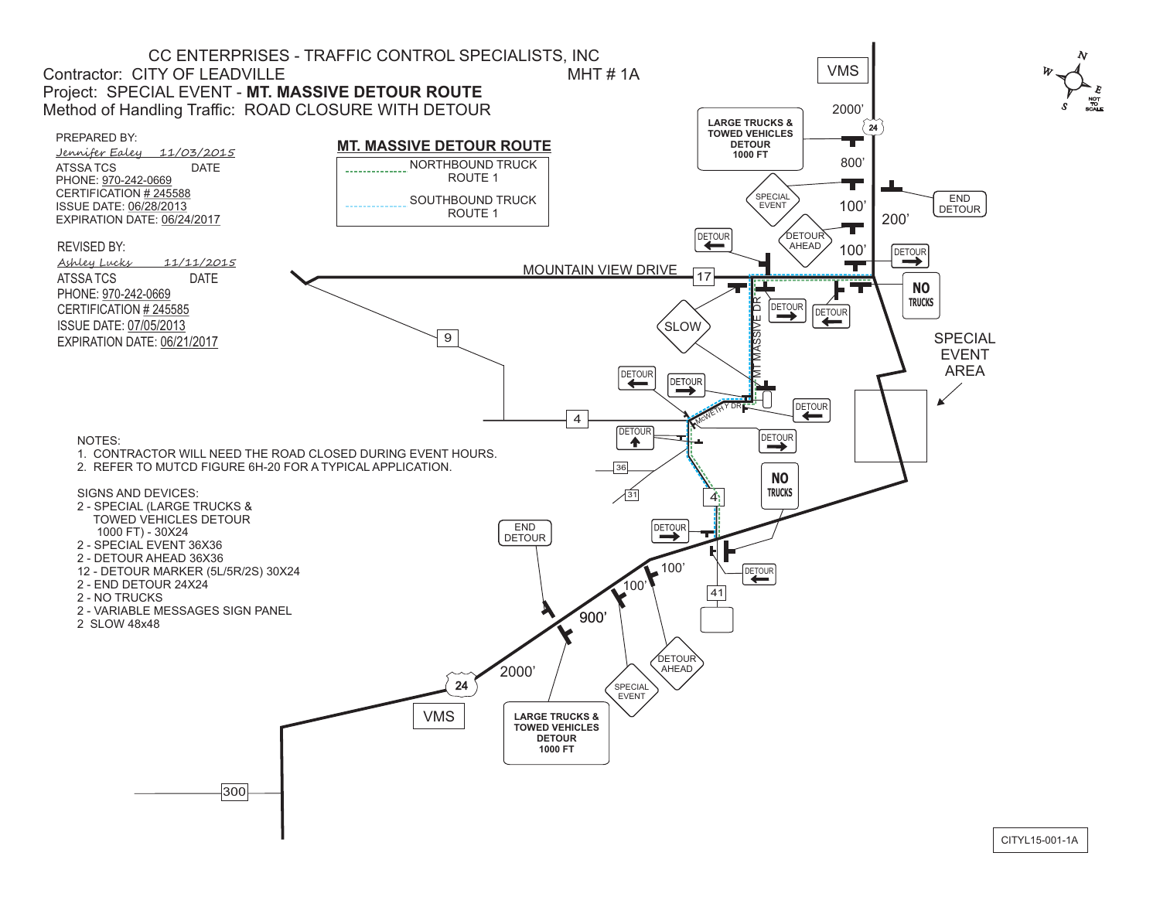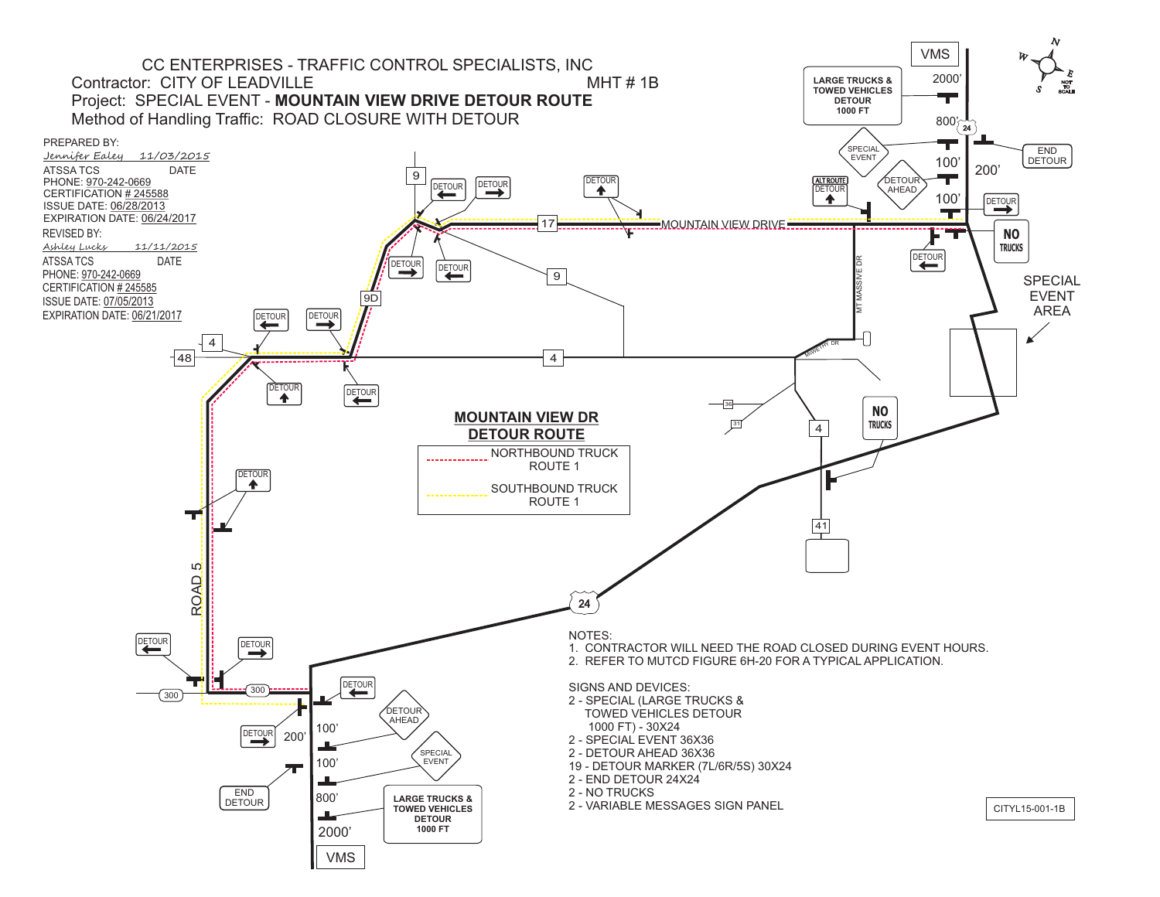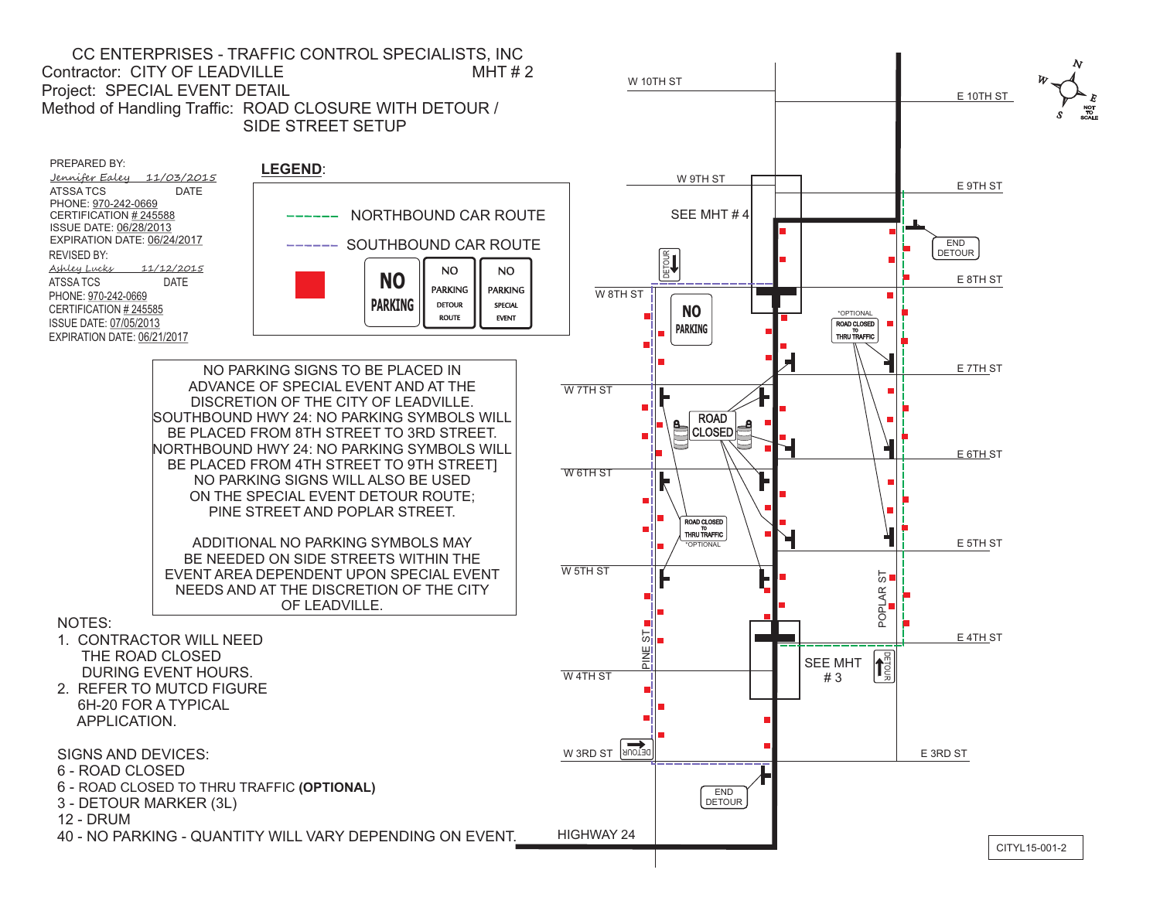CC ENTERPRISES - TRAFFIC CONTROL SPECIALISTS, INC Contractor: CITY OF LEADVILLE MHT # 2 Project: SPECIAL EVENT DETAIL Method of Handling Traffic: ROAD CLOSURE WITH DETOUR / SIDE STREET SETUP

PREPARED BY: Jennifer Ealey 11/03/2015 ATSSA TCS DATE PHONE: 970-242-0669 CERTIFICATION # 245588 ISSUE DATE: 06/28/2013 EXPIRATION DATE: 06/24/2017 REVISED BY: Ashley Lucks 11/12/2015 ATSSA TCS DATE PHONE: 970-242-0669 CERTIFICATION # 245585 ISSUE DATE: 07/05/2013 EXPIRATION DATE: 06/21/2017



NO PARKING SIGNS TO BE PLACED IN ADVANCE OF SPECIAL EVENT AND AT THE DISCRETION OF THE CITY OF LEADVILLE. SOUTHBOUND HWY 24: NO PARKING SYMBOLS WILL BE PLACED FROM 8TH STREET TO 3RD STREET. NORTHBOUND HWY 24: NO PARKING SYMBOLS WILL BE PLACED FROM 4TH STREET TO 9TH STREET] NO PARKING SIGNS WILL ALSO BE USED ON THE SPECIAL EVENT DETOUR ROUTE; PINE STREET AND POPLAR STREET.

ADDITIONAL NO PARKING SYMBOLS MAY BE NEEDED ON SIDE STREETS WITHIN THE EVENT AREA DEPENDENT UPON SPECIAL EVENT NEEDS AND AT THE DISCRETION OF THE CITY OF LEADVILLE.

NOTES:

- 1. CONTRACTOR WILL NEED THE ROAD CLOSED DURING EVENT HOURS.
- 2. REFER TO MUTCD FIGURE 6H-20 FOR A TYPICAL APPLICATION.

SIGNS AND DEVICES:

- 6 ROAD CLOSED
- 6 ROAD CLOSED TO THRU TRAFFIC **(OPTIONAL)**

3 - DETOUR MARKER (3L)

12 - DRUM

40 - NO PARKING - QUANTITY WILL VARY DEPENDING ON EVENT.

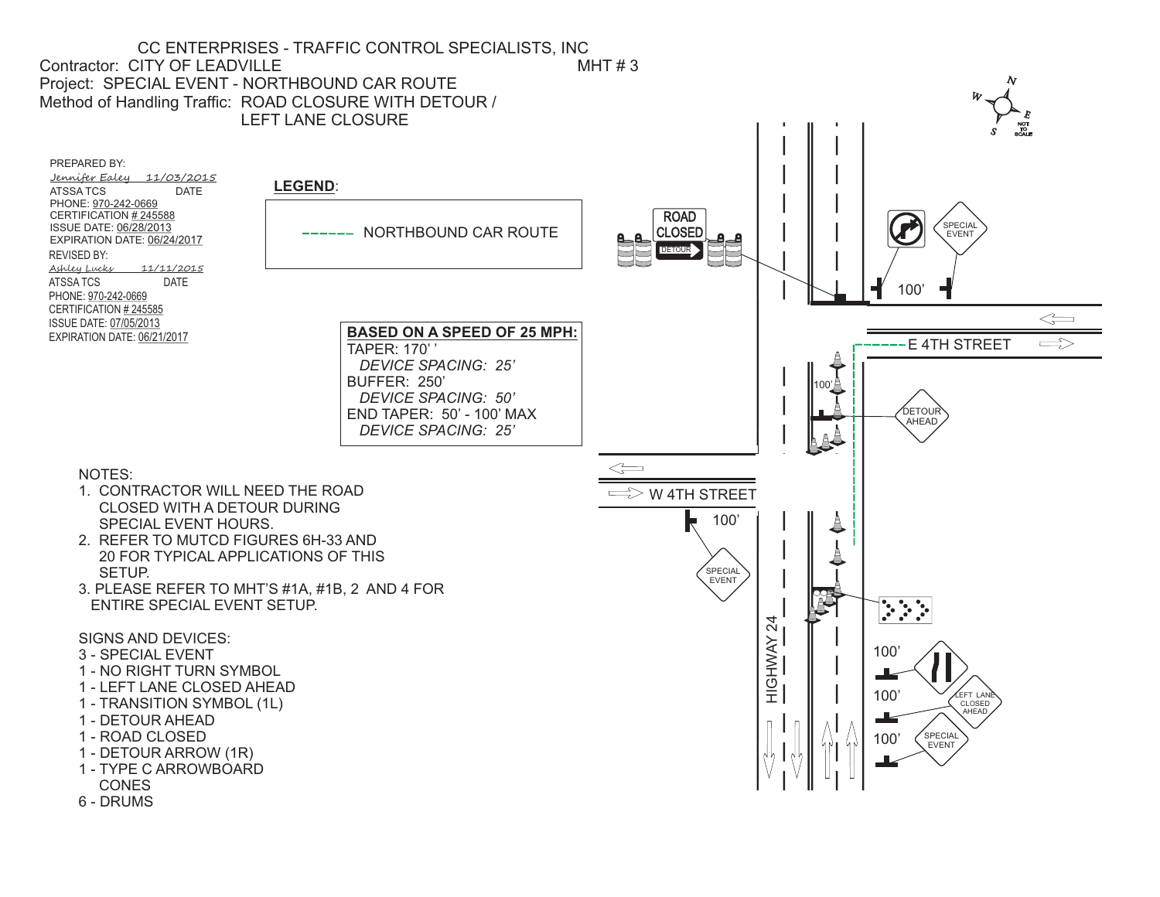